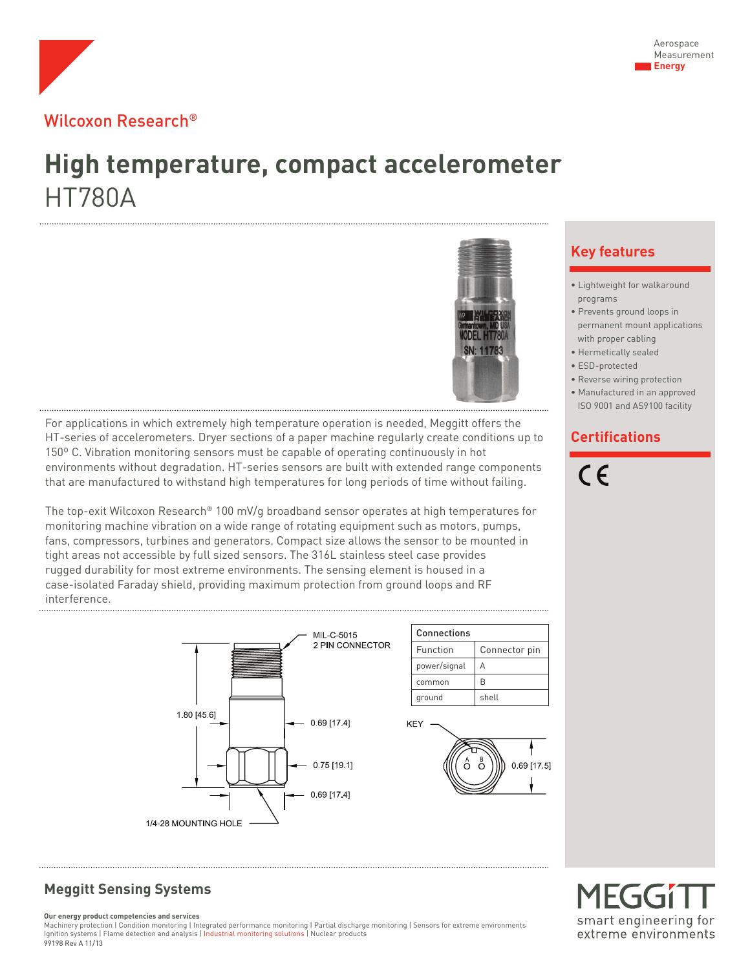

## Wilcoxon Research®

# **High temperature, compact accelerometer** HT780A



For applications in which extremely high temperature operation is needed, Meggitt offers the HT-series of accelerometers. Dryer sections of a paper machine regularly create conditions up to 150º C. Vibration monitoring sensors must be capable of operating continuously in hot environments without degradation. HT-series sensors are built with extended range components that are manufactured to withstand high temperatures for long periods of time without failing.

The top-exit Wilcoxon Research® 100 mV/g broadband sensor operates at high temperatures for monitoring machine vibration on a wide range of rotating equipment such as motors, pumps, fans, compressors, turbines and generators. Compact size allows the sensor to be mounted in tight areas not accessible by full sized sensors. The 316L stainless steel case provides rugged durability for most extreme environments. The sensing element is housed in a case-isolated Faraday shield, providing maximum protection from ground loops and RF interference.



## **Meggitt Sensing Systems**

**Our energy product competencies and services**

Machinery protection | Condition monitoring | Integrated performance monitoring | Partial discharge monitoring | Sensors for extreme environments Ignition systems | Flame detection and analysis | Industrial monitoring solutions | Nuclear products 99198 Rev A 11/13

### **Key features**

- Lightweight for walkaround programs
- Prevents ground loops in permanent mount applications with proper cabling
- Hermetically sealed
- ESD-protected
- Reverse wiring protection • Manufactured in an approved
- ISO 9001 and AS9100 facility

### **Certifications**



## MFGG1 smart engineering for extreme environments